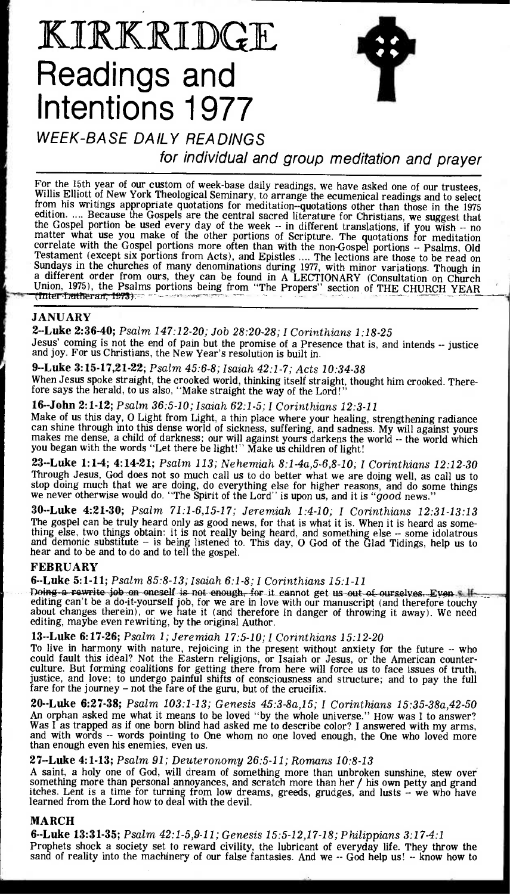# KIRKRIDGE **Readings and Intentions 1977**



## WEEK-BASE DAILY READINGS

for individual and group meditation and prayer

For the 15th year of our custom of week-base daily readings, we have asked one of our trustees, Willis Elliott of New York Theological Seminary, to arrange the ecumenical readings and to select from his writings appropriate quotations for meditation--quotations other than those in the 1975 edition. .... Because the Gospels are the central sacred literature for Christians, we suggest that the Gospel portion be used every day of the week -- in different translations, if you wish -- no matter what use you make of the other portions of Scripture. The quotations for meditation correlate with the Gospel portions more often than with the non-Gospel portions -- Psalms, Old Testament (except six portions from Acts), and Epistles .... The lections are those to be read on Sundays in the churches of many denominations during 1977, with minor variations. Though in a different order from ours, they can be found in A LECTIONARY (Consultation on Church Union, 1975), the Psalms portions being from "The Propers" section of THE CHURCH YEAR

### **JANUARY**

**2--Luke 2:36 -40;** *Psalm 147:12-20; Job 28:20-28; I Corinthians 1:18-25*  Jesus' coming is not the end of pain but the promise of a Presence that is, and intends -- justice and joy. For us Christians, the New Year's resolution is built in.

**9--Luke 3:15 -17,21-22;** *Psalm 45:6-8; Isaiah 42:1-7; Acts 10:34-38*  When Jesus spoke straight, the crooked world, thinking itself straight, thought him crooked. Therefore says the herald, to us also, "Make straight the way of the Lord!

**16--John 2:1 -12;** *Psalm 36:5-10; Isaiah 62:1-5; I Corinthians 12:3-11* 

Make of us this day, 0 Light from Light, a thin place where your healing, strengthening radiance can shine through into this dense world of sickness, suffering, and sadness. My will against yours makes me dense, a child of darkness; our will against yours darkens the world -- the world which you began with the words "Let there be light!" Make us children of light!

**23--Luke 1:1 -4; 4:14-21;** *Psalm 113; Nehemiah 8:1-4a,5-6,8-10; I Corinthians 12:12-30*  Through Jesus, God does not so much call us to do better what we are doing well, as call us to stop doing much that we are doing, do everything else for higher reasons, and do some things we never otherwise would do. ''The Spirit of the Lord'' is upon us, and it is " $good$  news.''

**30--Luke 4:21 -30;** *Psalm 71:1-6,15-17; Jeremiah 1:4-10; I Corinthians 12:31-13:13*  The gospel can be truly heard only as good news, for that is what it is. When it is heard as something else, two things obtain: it is not really being heard, and something else -- some idolatrous and demonic substitute - is being listened to. This day, 0 God of the Glad Tidings, help us to hear and to be and to do and to tell the gospel.

### **FEBRUARY**

**6--Luke 5:1 -11;** *Psalm 85:8-13; Isaiah 6:1-8; I Corinthians 15:1-11* 

Doing-a-rewrite job on oneself is not enough, for it cannot get us out of ourselves. Even s if editing can't be a do-it-yourself job, for we are in love with our manuscript (and therefore touchy about changes therein), or we hate it (and therefore in danger of throwing it away). We need editing, maybe even rewriting, by the original Author.

### **13--Luke 6:17 -26;** *Psalm 1; Jeremiah 17:5-10; I Corinthians 15:12-20*

To live in harmony with nature, rejoicing in the present without anxiety for the future  $-$  who could fault this ideal? Not the Eastern religions, or Isaiah or Jesus, or the American counterculture. But forming coalitions for getting there from here will force us to face issues of truth, justice, and love; to undergo painful shifts of consciousness and structure; and to pay the full fare for the journey – not the fare of the guru, but of the crucifix

**20--Luke 6:27 -38;** *Psalm 103:1-13; Genesis 45:3-8a,15; I Corinthians 15:35-38a,42-50*  An orphan asked me what it means to be loved "by the whole universe." How was I to answer? Was I as trapped as if one born blind had asked me to describe color? I answered with my arms, and with words -- words pointing to One whom no one loved enough, the One who loved more than enough even his enemies, even us.

#### **27--Luke 4:1-13;** *Psalm 91; Deuteronomy 26:5-11; Romans 10:8-13*

A saint, a holy one of God, will dream of something more than unbroken sunshine, stew over something more than personal annoyances, and scratch more than her / his own petty and grand itches. Lent is a time for turning from low dreams, greeds, grudges, and lusts -- we who have learned from the Lord how to deal with the devil.

### **MARCH**

**6--Luke 13:31 -35;** *Psalm 42:1-5,9-11; Genesis 15:5-12,17-18; Philippians 3:17-4:1* 

Prophets shock a society set to reward civility, the lubricant of everyday life. They throw the sand of reality into the machinery of our false fantasies. And we -- God help us! -- know how to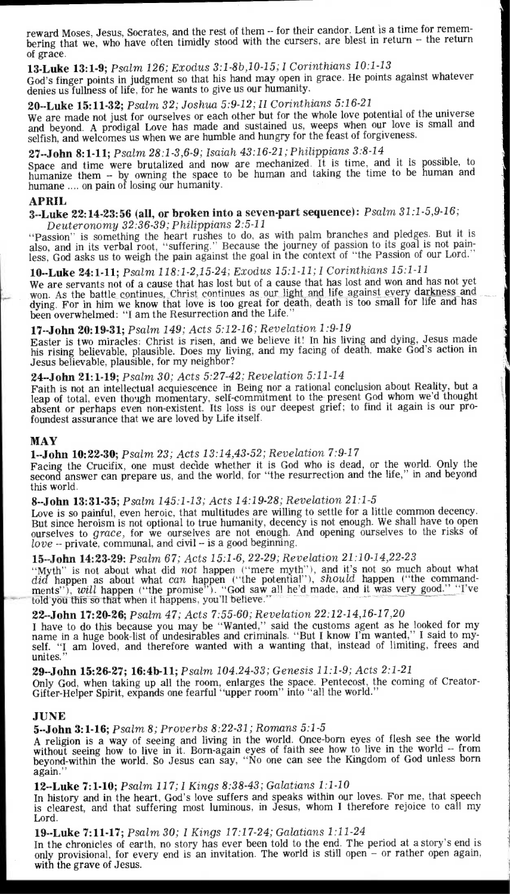reward Moses, Jesus, Socrates, and the rest of them -- for their candor. Lent is a time for remembering that we, who have often timidly stood with the cursers, are blest in return — the return of grace.

## **13-Luke 13:1-9;** *Psalm 126; Exodus 3:1-8b,10-15; I Corinthians 10:1-13*

God's finger points in judgment so that his hand may open in grace. He points against whatever denies us fullness of life, for he wants to give us our humanity.

## **20--Luke 15:11 -32;** *Psalm 32; Joshua 5:9-12; Il Corinthians 5:16-21*

We are made not just for ourselves or each other but for the whole love potential of the universe and beyond. A prodigal Love has made and sustained us, weeps when our love is small and selfish, and welcomes us when we are humble and hungry for the feast of forgiveness.

## **27--John 8:1 -11;** *Psalm 28:1-3,6-9; Isaiah 43:16-21; Philippians 3:8-14*

Space and time were brutalized and now are mechanized. It is time, and it is possible, to humanize them -- by owning the space to be human and taking the time to be human and humane .... on pain of losing our humanity.

## **APRIL**

#### **3--Luke 22:14-23:56 (all, or broken into a seven-part sequence):** *Psalm 31:1-5,9-16; Deuteronomy 32:36-39; Philippians 2:5-11*

"Passion" is something the heart rushes to do, as with palm branches and pledges. But it is also, and in its verbal root, "suffering." Because the journey of passion to its goal is not painless, God asks us to weigh the pain against the goal in the context of "the Passion of our Lord."

## **10--Luke 24:1 -11;** *Psalm 118:1-2,15-24; Exodus 15:1-11; I Corinthians 15:1-11*

*We* are servants not of a cause that has lost but of a cause that has lost and won and has not yet won. As the battle continues, Christ continues as our light and life against every darkness and. dying. For in him we know that love is too great for death, death is too small for life and has been overwhelmed: "I am the Resurrection and the Life."

## **17--John 20:19-31;** *Psalm 149; Acts 5:12-16; Revelation 1:9-19*

Easter is two miracles: Christ is risen, and we believe it! In his living and dying, Jesus made his rising believable, plausible. Does my living, and my facing of death, make God's action in Jesus believable, plausible, for my neighbor?

## **24--John 21:1 -19;** *Psalm 30; Acts 5:27-42; Revelation 5:11-14*

Faith is not an intellectual acquiescence in Being nor a rational conclusion about Reality, but a leap of total, even though momentary, self-commitment to the present God whom we'd thought absent or perhaps even non-existent. Its loss is our deepest grief; to find it again is our profoundest assurance that we are loved by Life itself.

#### **MAY**

## **1--John 10:22-30;** *Psalm 23; Acts* 13:14,43-52; *Revelation* 7:9-17

Facing the Crucifix, one must decide whether it is God who is dead, or the world. Only the second answer can prepare us, and the world, for "the resurrection and the life," in and beyond this world.

## **8--John 13:31 -35;** *Psalm 145:1-13; Acts 14:19-28; Revelation 21:1-5*

Love is so painful, even heroic, that multitudes are willing to settle for a little common decency. But since heroism is not optional to true humanity, decency is not enough. We shall have to open ourselves to grace, for we ourselves are not enough. And opening ourselves to the risks of love -- private, communal, and civil — is a good beginning.

## **15--John 14:23-29:** *Psalm 67; Acts 15:1-6,* 22-29; *Revelation 21:10-14,22-23*

"Myth" is not about what did not happen ("mere myth"), and it's not so much about what did happen as about what *can* happen ("the potential"), *should* happen ("the commandments"), *will* happen ("the promise"). "God saw all he'd made, and it was very good." "I've told you this so that when it happens, you'll believe." -

## **22--John 17:20-26;** *Psalm* 47; *Acts 7:55-60; Revelation 22:12-14,16-17,20*

I have to do this because you may be "Wanted," said the customs agent as he looked for my name in a huge book-list of undesirables and criminals. "But I know I'm wanted," I said to myself. "I am loved, and therefore wanted with a wanting that, instead of limiting, frees and unites."

**29--John 15:26-27; 16:4b-11;** *Psalm 104.24-33; Genesis 11:1-9; Acts 2:1-21* 

Only God, when taking up all the room, enlarges the space. Pentecost, the coming of Creator-Gifter-Helper Spirit, expands one fearful "upper room" into "all the world."

#### **JUNE**

## **5--John 3:1-16;** *Psalm 8; Proverbs 8:22-31; Romans 5:1-5*

A religion is a way of seeing and living in the world. Once-born eyes of flesh see the world without seeing how to live in it. Born-again eyes of faith see how to live in the world -- from beyond-within the world. So Jesus can say, "No one can see the Kingdom of God unless born again.

## **12--Luke 7:1 -10;** *Psalm 117; I Kings 8:38-43; Galatians 1:1-10*

In history and in the heart, God's love suffers and speaks within our loves. For me, that speech is clearest, and that suffering most luminous, in Jesus, whom I therefore rejoice to call my Lord.

## **19--Luke 7:11 -17;** *Psalm 30; I Kings 17:17-24; Galatians 1:11-24*

In the chronicles of earth, no story has ever been told to the end. The period at a story's end is only provisional, for every end is an invitation. The world is still open — or rather open again, with the grave of Jesus.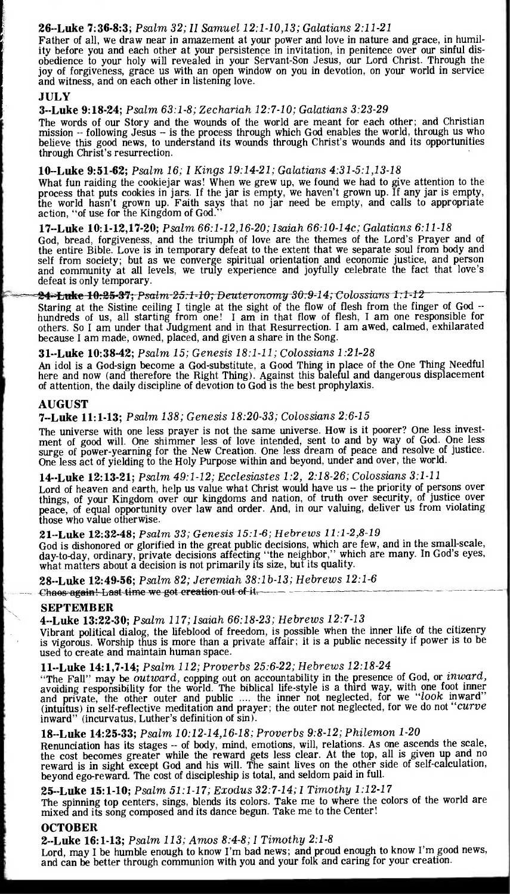#### **26--Luke 7:36-8:3;** *Psalm 32; II Samuel 12:1-10,13; Galatians 2:11-21*

Father of all, we draw near in amazement at your power and love in nature and grace, in humility before you and each other at your persistence in invitation, in penitence over our sinful disobedience to your holy will revealed in your Servant-Son Jesus, our Lord Christ. Through the joy of forgiveness, grace us with an open window on you in devotion, on your world in service and witness, and on each other in listening love.

#### **JULY**

#### **3--Luke 9:18 -24;** *Psalm 63:1-8; Zechariah 12:7-10; Galatians 3:23-29*

The words of our Story and the wounds of the world are meant for each other; and Christian mission -- following Jesus - is the process through which God enables the world, through us who believe this good news, to understand its wounds through Christ's wounds and its opportunities through Christ's resurrection.

**10--Luke 9:51 -62;** *Psalm 16; I Kings 19:14-21; Galatians 4:31-5:1,13-18*  What fun raiding the cookiejar was! When we grew up, we found we had to give attention to the process that puts cookies in jars. If the jar is empty, we haven't grown up. If any jar is empty, the world hasn't grown up. Faith says that no jar need be empty, and calls to appropriate action, "of use for the Kingdom of God."

#### **17--Luke 10:1 -12,17-20;** *Psalm 66:1-12,16-20; Isaiah 66:10-14c; Galatians 6:11-18*

God, bread, forgiveness, and the triumph of love are the themes of the Lord's Prayer and of the entire Bible. Love is in temporary defeat to the extent that we separate soul from body and self from society; but as we converge spiritual orientation and economic justice, and person and community at all levels, we truly experience and joyfully celebrate the fact that love's defeat is only temporary.

#### <del>24-Luke 10:25-37;</del> Psalm-25:1-10; Deuteronomy 30:9-14; Colossians 1:1-12

Staring at the Sistine ceiling I tingle at the sight of the flow of flesh from the finger of God - hundreds of us, all starting from one! I am in that flow of flesh, I am one responsible for others. So I am under that Judgment and in that Resurrection. I am awed, calmed, exhilarated because I am made, owned, placed, and given a share in the Song.

#### **31--Luke 10:38 -42;** *Psalm 15; Genesis 18:1-11; Colossians 1:21-28*

An idol is a God-sign become a God-substitute, a Good Thing in place of the One Thing Needful here and now (and therefore the Right Thing). Against this baleful and dangerous displacement of attention, the daily discipline of devotion to God is the best prophylaxis.

#### **AUGUST**

#### **7--Luke 11:1 -13;** *Psalm 138; Genesis 18:20-33; Colossians* 2:6-15

The universe with one less prayer is not the same universe. How is it poorer? One less investment of good will. One shimmer less of love intended, sent to and by way of God. One less surge of power-yearning for the New Creation. One less dream of peace and resolve of justice. One less act of yielding to the Holy Purpose within and beyond, under and over, the world.

## **14--Luke 12:13 -21;** *Psalm 49:1-12; Ecclesiastes 1:2, 2:18-26; Colossians 3:1-11*

Lord of heaven and earth, help us value what Christ would have us - the priority of persons over things, of your Kingdom over our kingdoms and nation, of truth over security, of justice over peace, of equal opportunity over law and order. And, in our valuing, deliver us from violating those who value otherwise.

#### **21--Luke 12:32-48;** *Psalm 33; Genesis 15:1-6; Hebrews 11:1-2,8-19*

God is dishonored or glorified in the great public decisions, which are few, and in the small-scale, day-to-day, ordinary, private decisions affecting "the neighbor," which are many. In God's eyes, what matters about a decision is not primarily its size, but its quality.

**28--Luke 12:49-56;** *Psalm* 82; *Jeremiah 38:1b-13; Hebrews 12:1-6* 

#### Chaos-again!-Last-time-we-got-ereation-out-of-it.

#### **SEPTEMBER**

**4--Luke 13:22 -30;** *Psalm 117; Isaiah* 66:18-23; *Hebrews 12:7-13* 

Vibrant political dialog, the lifeblood of freedom, is possible when the inner life of the citizenry is vigorous. Worship thus is more than a private affair; it is a public necessity if power is to be used to create and maintain human space.

#### **11--Luke 14:1,7 -14;** *Psalm 112; Proverbs 25:6-22; Hebrews 12:18-24*

"The Fall" may be *outward*, copping out on accountability in the presence of God, or *inward*, avoiding responsibility for the world. The biblical life-style is a third way, with one foot inner and private, the other oute inward" (incurvatus, Luther's definition of sin).

## **18--Luke 14:25-33;** *Psalm 10:12-14,16-18; Proverbs 9:8-12; Philemon 1-20*

Renunciation has its stages -- of body, mind, emotions, will, relations. As one ascends the scale, the cost becomes greater while the reward gets less clear. At the top, all is given up and no reward is in sight except God and his will. The saint lives on the other side of self-calculation, beyond ego-reward. The cost of discipleship is total, and seldom paid in full.

#### **25--Luke 15:1 -10;** *Psalm 51:1-17; Exodus 32:7-14; I Timothy 1:12-17*

The spinning top centers, sings, blends its colors. Take me to where the colors of the world are mixed and its song composed and its dance begun. Take me to the Center!

#### **OCTOBER**

#### **2--Luke 16:1 -13;** *Psalm 113; Amos 8:4-8; I Timothy 2:1-8*

Lord, may I be humble enough to know I'm bad news; and proud enough to know I'm good news, and can be better through communion with you and your folk and caring for your creation.